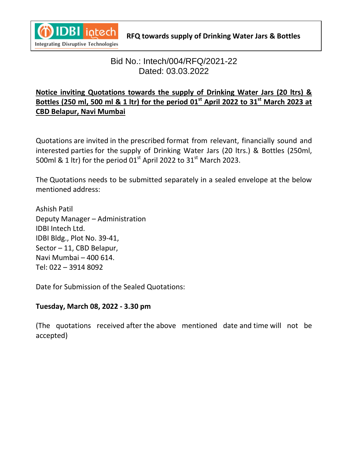

# **Bid No.: Intech/004/RFQ/2021-22** Dated: 03.03.2022

# **Notice inviting Quotations towards the supply of Drinking Water Jars (20 ltrs) & Bottles (250 ml, 500 ml & 1 ltr) for the period 01st April 2022 to 31st March 2023 at CBD Belapur, Navi Mumbai**

Quotations are invited in the prescribed format from relevant, financially sound and interested parties for the supply of Drinking Water Jars (20 ltrs.) & Bottles (250ml, 500ml & 1 ltr) for the period  $01<sup>st</sup>$  April 2022 to 31 $<sup>st</sup>$  March 2023.</sup>

The Quotations needs to be submitted separately in a sealed envelope at the below mentioned address:

Ashish Patil Deputy Manager – Administration IDBI Intech Ltd. IDBI Bldg., Plot No. 39-41, Sector – 11, CBD Belapur, Navi Mumbai – 400 614. Tel: 022 – 3914 8092

Date for Submission of the Sealed Quotations:

#### **Tuesday, March 08, 2022 - 3.30 pm**

(The quotations received after the above mentioned date and time will not be accepted)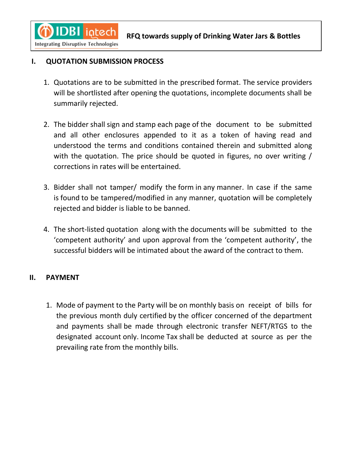

### **I.** QUOTATION SUBMISSION PROCESS

- 1. Quotations are to be submitted in the prescribed format. The service providers will be shortlisted after opening the quotations, incomplete documents shall be summarily rejected.
- 2. The bidder shall sign and stamp each page of the document to be submitted and all other enclosures appended to it as a token of having read and understood the terms and conditions contained therein and submitted along with the quotation. The price should be quoted in figures, no over writing / corrections in rates will be entertained.
- 3. Bidder shall not tamper/ modify the form in any manner. In case if the same is found to be tampered/modified in any manner, quotation will be completely rejected and bidder is liable to be banned.
- 4. The short-listed quotation along with the documents will be submitted to the 'competent authority' and upon approval from the 'competent authority', the successful bidders will be intimated about the award of the contract to them.

#### **II. PAYMENT**

1. Mode of payment to the Party will be on monthly basis on receipt of bills for the previous month duly certified by the officer concerned of the department and payments shall be made through electronic transfer NEFT/RTGS to the designated account only. Income Tax shall be deducted at source as per the prevailing rate from the monthly bills.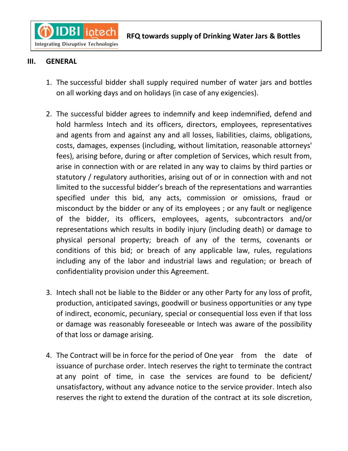**Integrating Disruptive Technologies** 

**IDBI** intech

### **Bottles III. GENERAL**

 $\mathbf C$ 

- 1. The successful bidder shall supply required number of water jars and bottles on all working days and on holidays (in case of any exigencies).
- 2. The successful bidder agrees to indemnify and keep indemnified, defend and hold harmless Intech and its officers, directors, employees, representatives and agents from and against any and all losses, liabilities, claims, obligations, costs, damages, expenses (including, without limitation, reasonable attorneys' fees), arising before, during or after completion of Services, which result from, arise in connection with or are related in any way to claims by third parties or statutory / regulatory authorities, arising out of or in connection with and not limited to the successful bidder's breach of the representations and warranties specified under this bid, any acts, commission or omissions, fraud or misconduct by the bidder or any of its employees ; or any fault or negligence of the bidder, its officers, employees, agents, subcontractors and/or representations which results in bodily injury (including death) or damage to physical personal property; breach of any of the terms, covenants or conditions of this bid; or breach of any applicable law, rules, regulations including any of the labor and industrial laws and regulation; or breach of confidentiality provision under this Agreement.
- 3. Intech shall not be liable to the Bidder or any other Party for any loss of profit, production, anticipated savings, goodwill or business opportunities or any type of indirect, economic, pecuniary, special or consequential loss even if that loss or damage was reasonably foreseeable or Intech was aware of the possibility of that loss or damage arising.
- 4. The Contract will be in force for the period of One year from the date of issuance of purchase order. Intech reserves the right to terminate the contract at any point of time, in case the services are found to be deficient/ unsatisfactory, without any advance notice to the service provider. Intech also reserves the right to extend the duration of the contract at its sole discretion,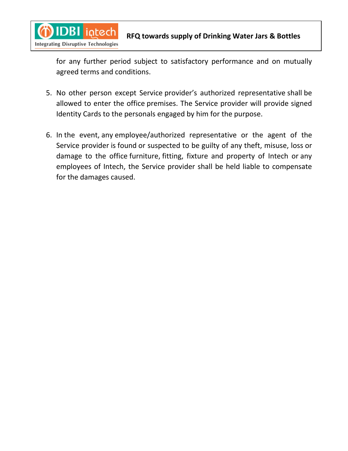

for any further period subject to satisfactory performance and on mutually agreed terms and conditions.

- 5. No other person except Service provider's authorized representative shall be allowed to enter the office premises. The Service provider will provide signed Identity Cards to the personals engaged by him for the purpose.
- 6. In the event, any employee/authorized representative or the agent of the Service provider is found or suspected to be guilty of any theft, misuse, loss or damage to the office furniture, fitting, fixture and property of Intech or any employees of Intech, the Service provider shall be held liable to compensate for the damages caused.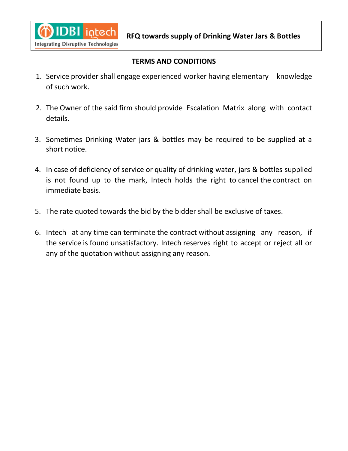

#### **TERMS AND CONDITIONS**

- 1. Service provider shall engage experienced worker having elementary knowledge of such work.
- 2. The Owner of the said firm should provide Escalation Matrix along with contact details.
- 3. Sometimes Drinking Water jars & bottles may be required to be supplied at a short notice.
- 4. In case of deficiency of service or quality of drinking water, jars & bottles supplied is not found up to the mark, Intech holds the right to cancel the contract on immediate basis.
- 5. The rate quoted towards the bid by the bidder shall be exclusive of taxes.
- 6. Intech at any time can terminate the contract without assigning any reason, if the service is found unsatisfactory. Intech reserves right to accept or reject all or any of the quotation without assigning any reason.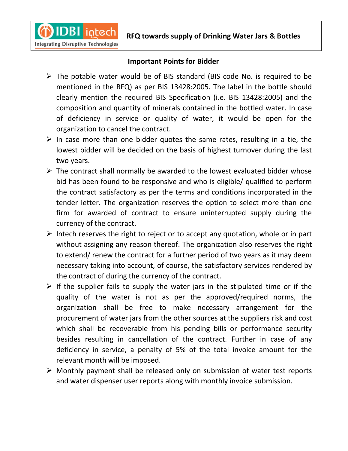

#### **Important Points for Bidder**

- $\triangleright$  The potable water would be of BIS standard (BIS code No. is required to be mentioned in the RFQ) as per BIS 13428:2005. The label in the bottle should clearly mention the required BIS Specification (i.e. BIS 13428:2005) and the composition and quantity of minerals contained in the bottled water. In case of deficiency in service or quality of water, it would be open for the organization to cancel the contract.
- $\triangleright$  In case more than one bidder quotes the same rates, resulting in a tie, the lowest bidder will be decided on the basis of highest turnover during the last two years.
- $\triangleright$  The contract shall normally be awarded to the lowest evaluated bidder whose bid has been found to be responsive and who is eligible/ qualified to perform the contract satisfactory as per the terms and conditions incorporated in the tender letter. The organization reserves the option to select more than one firm for awarded of contract to ensure uninterrupted supply during the currency of the contract.
- $\triangleright$  Intech reserves the right to reject or to accept any quotation, whole or in part without assigning any reason thereof. The organization also reserves the right to extend/ renew the contract for a further period of two years as it may deem necessary taking into account, of course, the satisfactory services rendered by the contract of during the currency of the contract.
- $\triangleright$  If the supplier fails to supply the water jars in the stipulated time or if the quality of the water is not as per the approved/required norms, the organization shall be free to make necessary arrangement for the procurement of water jars from the other sources at the suppliers risk and cost which shall be recoverable from his pending bills or performance security besides resulting in cancellation of the contract. Further in case of any deficiency in service, a penalty of 5% of the total invoice amount for the relevant month will be imposed.
- $\triangleright$  Monthly payment shall be released only on submission of water test reports and water dispenser user reports along with monthly invoice submission.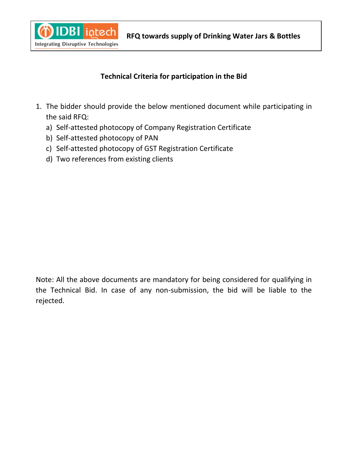

## **Technical Criteria for participation in the Bid**

- 1. The bidder should provide the below mentioned document while participating in the said RFQ:
	- a) Self-attested photocopy of Company Registration Certificate
	- b) Self-attested photocopy of PAN
	- c) Self-attested photocopy of GST Registration Certificate
	- d) Two references from existing clients

Note: All the above documents are mandatory for being considered for qualifying in the Technical Bid. In case of any non-submission, the bid will be liable to the rejected.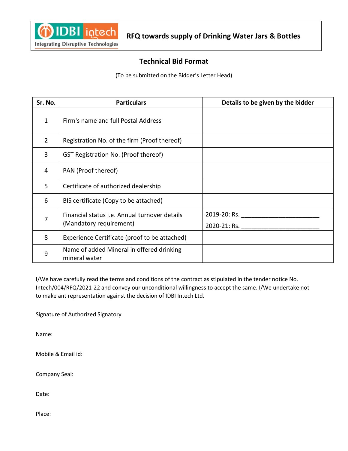

#### **Technical Bid Format**

(To be submitted on the Bidder's Letter Head)

| Sr. No.        | <b>Particulars</b>                                                       | Details to be given by the bidder   |
|----------------|--------------------------------------------------------------------------|-------------------------------------|
| $\mathbf{1}$   | Firm's name and full Postal Address                                      |                                     |
| $\overline{2}$ | Registration No. of the firm (Proof thereof)                             |                                     |
| 3              | GST Registration No. (Proof thereof)                                     |                                     |
| 4              | PAN (Proof thereof)                                                      |                                     |
| 5              | Certificate of authorized dealership                                     |                                     |
| 6              | BIS certificate (Copy to be attached)                                    |                                     |
| $\overline{7}$ | Financial status i.e. Annual turnover details<br>(Mandatory requirement) | 2019-20: Rs. ______________________ |
|                |                                                                          | 2020-21: Rs. ____________________   |
| 8              | Experience Certificate (proof to be attached)                            |                                     |
| 9              | Name of added Mineral in offered drinking<br>mineral water               |                                     |

I/We have carefully read the terms and conditions of the contract as stipulated in the tender notice No. Intech/004/RFQ/2021-22 and convey our unconditional willingness to accept the same. I/We undertake not to make ant representation against the decision of IDBI Intech Ltd.

Signature of Authorized Signatory

Name:

Mobile & Email id:

Company Seal:

Date:

Place: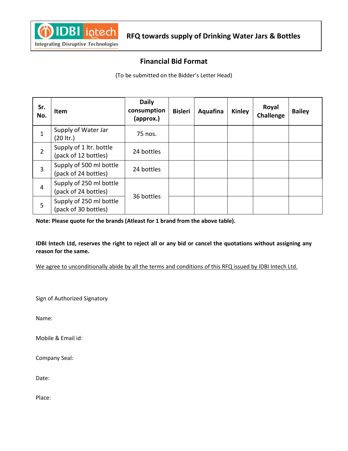

#### **Financial Bid Format**

(To be submitted on the Bidder's Letter Head)

| Sr.<br>No.     | <b>Item</b>                                     | <b>Daily</b><br>consumption<br>(approx.) | <b>Bisleri</b> | Aquafina | Kinley | Royal<br>Challenge | <b>Bailey</b> |
|----------------|-------------------------------------------------|------------------------------------------|----------------|----------|--------|--------------------|---------------|
| 1              | Supply of Water Jar<br>$(20$ ltr.)              | 75 nos.                                  |                |          |        |                    |               |
| $\overline{2}$ | Supply of 1 ltr. bottle<br>(pack of 12 bottles) | 24 bottles                               |                |          |        |                    |               |
| 3              | Supply of 500 ml bottle<br>(pack of 24 bottles) | 24 bottles                               |                |          |        |                    |               |
| $\overline{4}$ | Supply of 250 ml bottle<br>(pack of 24 bottles) | 36 bottles                               |                |          |        |                    |               |
| 5              | Supply of 250 ml bottle<br>(pack of 30 bottles) |                                          |                |          |        |                    |               |

**Note: Please quote for the brands (Atleast for 1 brand from the above table).**

**IDBI Intech Ltd, reserves the right to reject all or any bid or cancel the quotations without assigning any reason for the same.**

We agree to unconditionally abide by all the terms and conditions of this RFQ issued by IDBI Intech Ltd.

Sign of Authorized Signatory

Name:

Mobile & Email id:

Company Seal:

Date:

Place: